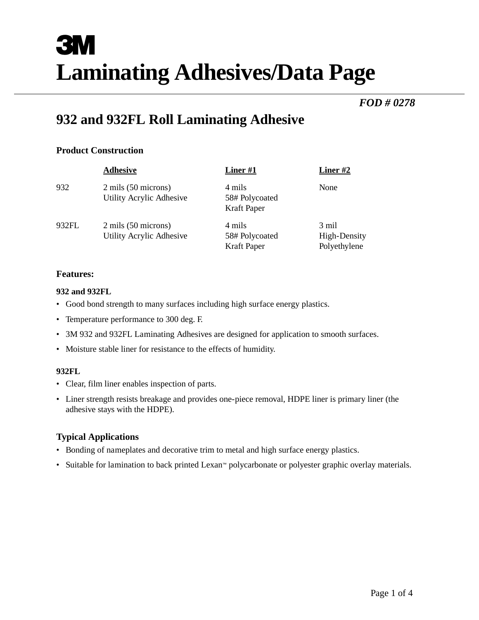# **3M Laminating Adhesives/Data Page**

## *FOD # 0278*

# **932 and 932FL Roll Laminating Adhesive**

#### **Product Construction**

|       | <b>Adhesive</b>                                 | Liner#1                                        | Liner #2                              |
|-------|-------------------------------------------------|------------------------------------------------|---------------------------------------|
| 932   | 2 mils (50 microns)<br>Utility Acrylic Adhesive | 4 mils<br>58# Polycoated<br><b>Kraft Paper</b> | None                                  |
| 932FL | 2 mils (50 microns)<br>Utility Acrylic Adhesive | 4 mils<br>58# Polycoated<br><b>Kraft Paper</b> | 3 mil<br>High-Density<br>Polyethylene |

#### **Features:**

#### **932 and 932FL**

- Good bond strength to many surfaces including high surface energy plastics.
- Temperature performance to 300 deg. F.
- 3M 932 and 932FL Laminating Adhesives are designed for application to smooth surfaces.
- Moisture stable liner for resistance to the effects of humidity.

#### **932FL**

- Clear, film liner enables inspection of parts.
- Liner strength resists breakage and provides one-piece removal, HDPE liner is primary liner (the adhesive stays with the HDPE).

#### **Typical Applications**

- Bonding of nameplates and decorative trim to metal and high surface energy plastics.
- Suitable for lamination to back printed Lexan™ polycarbonate or polyester graphic overlay materials.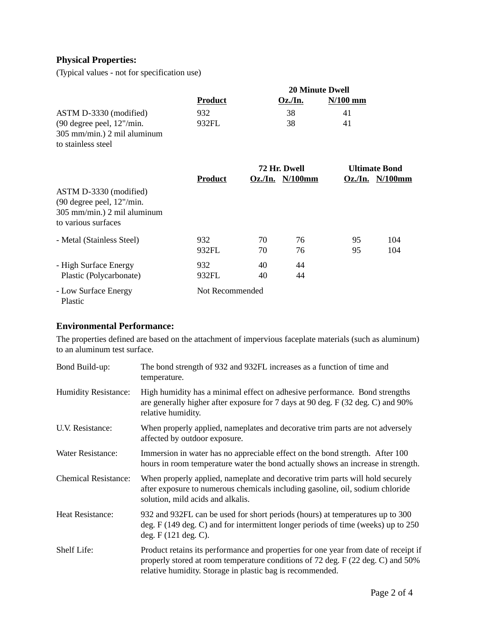### **Physical Properties:**

(Typical values - not for specification use)

|                                                                                                                | <b>20 Minute Dwell</b> |    |                                       |            |                                               |
|----------------------------------------------------------------------------------------------------------------|------------------------|----|---------------------------------------|------------|-----------------------------------------------|
|                                                                                                                | <b>Product</b>         |    | $Oz$ ./In.                            | $N/100$ mm |                                               |
| ASTM D-3330 (modified)                                                                                         | 932                    |    | 38                                    | 41         |                                               |
| $(90$ degree peel, $12$ "/min.<br>305 mm/min.) 2 mil aluminum<br>to stainless steel                            | 932FL                  |    | 38                                    | 41         |                                               |
|                                                                                                                | <b>Product</b>         |    | 72 Hr. Dwell<br>$Oz$ ./In. $N/100$ mm |            | <b>Ultimate Bond</b><br>$Oz$ ./In. $N/100$ mm |
| ASTM D-3330 (modified)<br>$(90$ degree peel, $12$ "/min.<br>305 mm/min.) 2 mil aluminum<br>to various surfaces |                        |    |                                       |            |                                               |
| - Metal (Stainless Steel)                                                                                      | 932                    | 70 | 76                                    | 95         | 104                                           |
|                                                                                                                | 932FL                  | 70 | 76                                    | 95         | 104                                           |
| - High Surface Energy                                                                                          | 932                    | 40 | 44                                    |            |                                               |
| Plastic (Polycarbonate)                                                                                        | 932FL                  | 40 | 44                                    |            |                                               |
| - Low Surface Energy<br>Plastic                                                                                | Not Recommended        |    |                                       |            |                                               |

#### **Environmental Performance:**

The properties defined are based on the attachment of impervious faceplate materials (such as aluminum) to an aluminum test surface.

| Bond Build-up:              | The bond strength of 932 and 932FL increases as a function of time and<br>temperature.                                                                                                                                              |
|-----------------------------|-------------------------------------------------------------------------------------------------------------------------------------------------------------------------------------------------------------------------------------|
| <b>Humidity Resistance:</b> | High humidity has a minimal effect on adhesive performance. Bond strengths<br>are generally higher after exposure for 7 days at 90 deg. F (32 deg. C) and 90%<br>relative humidity.                                                 |
| U.V. Resistance:            | When properly applied, nameplates and decorative trim parts are not adversely<br>affected by outdoor exposure.                                                                                                                      |
| <b>Water Resistance:</b>    | Immersion in water has no appreciable effect on the bond strength. After 100<br>hours in room temperature water the bond actually shows an increase in strength.                                                                    |
| <b>Chemical Resistance:</b> | When properly applied, nameplate and decorative trim parts will hold securely<br>after exposure to numerous chemicals including gasoline, oil, sodium chloride<br>solution, mild acids and alkalis.                                 |
| <b>Heat Resistance:</b>     | 932 and 932FL can be used for short periods (hours) at temperatures up to 300<br>deg. F (149 deg. C) and for intermittent longer periods of time (weeks) up to 250<br>deg. $F(121 \text{ deg. C}).$                                 |
| Shelf Life:                 | Product retains its performance and properties for one year from date of receipt if<br>properly stored at room temperature conditions of 72 deg. F (22 deg. C) and 50%<br>relative humidity. Storage in plastic bag is recommended. |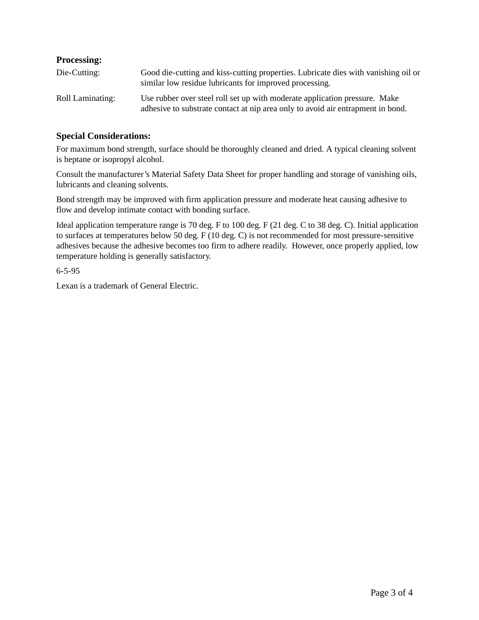#### **Processing:**

| Die-Cutting:     | Good die-cutting and kiss-cutting properties. Lubricate dies with vanishing oil or<br>similar low residue lubricants for improved processing.                 |
|------------------|---------------------------------------------------------------------------------------------------------------------------------------------------------------|
| Roll Laminating: | Use rubber over steel roll set up with moderate application pressure. Make<br>adhesive to substrate contact at nip area only to avoid air entrapment in bond. |

#### **Special Considerations:**

For maximum bond strength, surface should be thoroughly cleaned and dried. A typical cleaning solvent is heptane or isopropyl alcohol.

Consult the manufacturer's Material Safety Data Sheet for proper handling and storage of vanishing oils, lubricants and cleaning solvents.

Bond strength may be improved with firm application pressure and moderate heat causing adhesive to flow and develop intimate contact with bonding surface.

Ideal application temperature range is 70 deg. F to 100 deg. F (21 deg. C to 38 deg. C). Initial application to surfaces at temperatures below 50 deg. F (10 deg. C) is not recommended for most pressure-sensitive adhesives because the adhesive becomes too firm to adhere readily. However, once properly applied, low temperature holding is generally satisfactory.

6-5-95

Lexan is a trademark of General Electric.